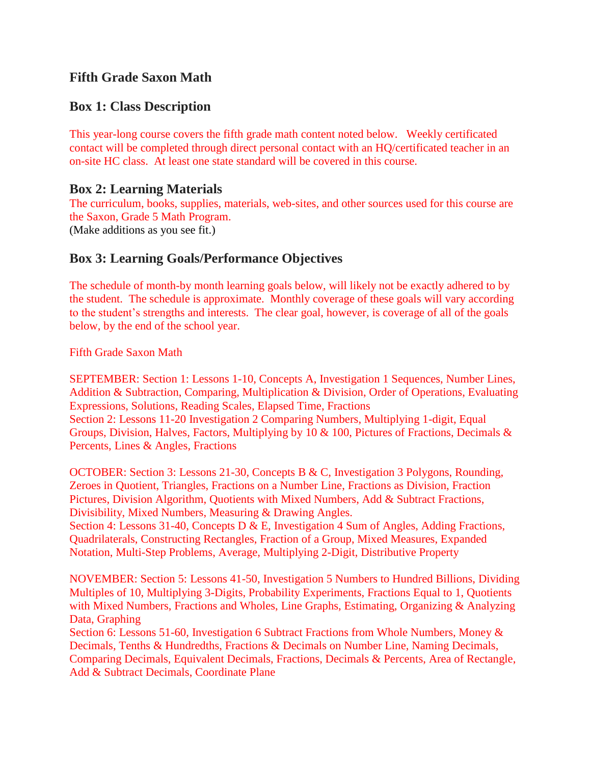# **Fifth Grade Saxon Math**

# **Box 1: Class Description**

This year-long course covers the fifth grade math content noted below. Weekly certificated contact will be completed through direct personal contact with an HQ/certificated teacher in an on-site HC class. At least one state standard will be covered in this course.

#### **Box 2: Learning Materials**

The curriculum, books, supplies, materials, web-sites, and other sources used for this course are the Saxon, Grade 5 Math Program.

(Make additions as you see fit.)

## **Box 3: Learning Goals/Performance Objectives**

The schedule of month-by month learning goals below, will likely not be exactly adhered to by the student. The schedule is approximate. Monthly coverage of these goals will vary according to the student's strengths and interests. The clear goal, however, is coverage of all of the goals below, by the end of the school year.

Fifth Grade Saxon Math

SEPTEMBER: Section 1: Lessons 1-10, Concepts A, Investigation 1 Sequences, Number Lines, Addition & Subtraction, Comparing, Multiplication & Division, Order of Operations, Evaluating Expressions, Solutions, Reading Scales, Elapsed Time, Fractions Section 2: Lessons 11-20 Investigation 2 Comparing Numbers, Multiplying 1-digit, Equal Groups, Division, Halves, Factors, Multiplying by 10 & 100, Pictures of Fractions, Decimals & Percents, Lines & Angles, Fractions

OCTOBER: Section 3: Lessons 21-30, Concepts B & C, Investigation 3 Polygons, Rounding, Zeroes in Quotient, Triangles, Fractions on a Number Line, Fractions as Division, Fraction Pictures, Division Algorithm, Quotients with Mixed Numbers, Add & Subtract Fractions, Divisibility, Mixed Numbers, Measuring & Drawing Angles.

Section 4: Lessons 31-40, Concepts D & E, Investigation 4 Sum of Angles, Adding Fractions, Quadrilaterals, Constructing Rectangles, Fraction of a Group, Mixed Measures, Expanded Notation, Multi-Step Problems, Average, Multiplying 2-Digit, Distributive Property

NOVEMBER: Section 5: Lessons 41-50, Investigation 5 Numbers to Hundred Billions, Dividing Multiples of 10, Multiplying 3-Digits, Probability Experiments, Fractions Equal to 1, Quotients with Mixed Numbers, Fractions and Wholes, Line Graphs, Estimating, Organizing & Analyzing Data, Graphing

Section 6: Lessons 51-60, Investigation 6 Subtract Fractions from Whole Numbers, Money & Decimals, Tenths & Hundredths, Fractions & Decimals on Number Line, Naming Decimals, Comparing Decimals, Equivalent Decimals, Fractions, Decimals & Percents, Area of Rectangle, Add & Subtract Decimals, Coordinate Plane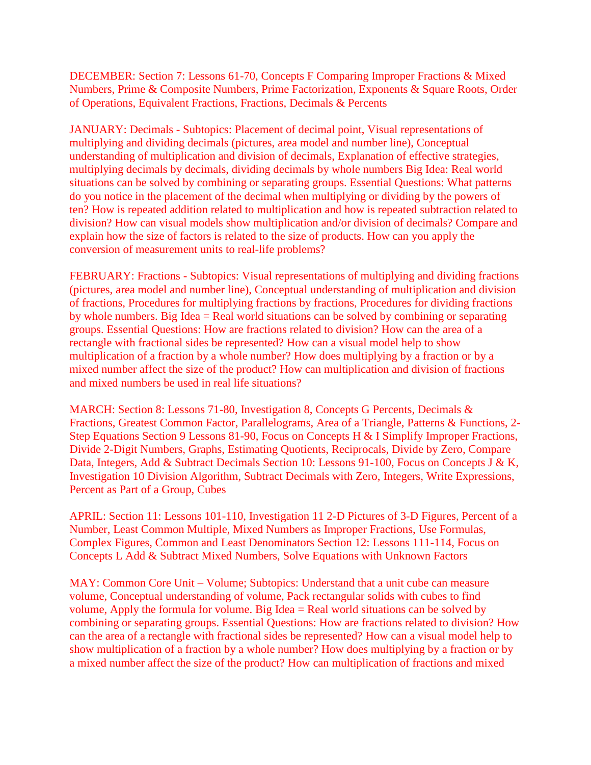DECEMBER: Section 7: Lessons 61-70, Concepts F Comparing Improper Fractions & Mixed Numbers, Prime & Composite Numbers, Prime Factorization, Exponents & Square Roots, Order of Operations, Equivalent Fractions, Fractions, Decimals & Percents

JANUARY: Decimals - Subtopics: Placement of decimal point, Visual representations of multiplying and dividing decimals (pictures, area model and number line), Conceptual understanding of multiplication and division of decimals, Explanation of effective strategies, multiplying decimals by decimals, dividing decimals by whole numbers Big Idea: Real world situations can be solved by combining or separating groups. Essential Questions: What patterns do you notice in the placement of the decimal when multiplying or dividing by the powers of ten? How is repeated addition related to multiplication and how is repeated subtraction related to division? How can visual models show multiplication and/or division of decimals? Compare and explain how the size of factors is related to the size of products. How can you apply the conversion of measurement units to real-life problems?

FEBRUARY: Fractions - Subtopics: Visual representations of multiplying and dividing fractions (pictures, area model and number line), Conceptual understanding of multiplication and division of fractions, Procedures for multiplying fractions by fractions, Procedures for dividing fractions by whole numbers. Big Idea = Real world situations can be solved by combining or separating groups. Essential Questions: How are fractions related to division? How can the area of a rectangle with fractional sides be represented? How can a visual model help to show multiplication of a fraction by a whole number? How does multiplying by a fraction or by a mixed number affect the size of the product? How can multiplication and division of fractions and mixed numbers be used in real life situations?

MARCH: Section 8: Lessons 71-80, Investigation 8, Concepts G Percents, Decimals & Fractions, Greatest Common Factor, Parallelograms, Area of a Triangle, Patterns & Functions, 2- Step Equations Section 9 Lessons 81-90, Focus on Concepts H & I Simplify Improper Fractions, Divide 2-Digit Numbers, Graphs, Estimating Quotients, Reciprocals, Divide by Zero, Compare Data, Integers, Add & Subtract Decimals Section 10: Lessons 91-100, Focus on Concepts J & K, Investigation 10 Division Algorithm, Subtract Decimals with Zero, Integers, Write Expressions, Percent as Part of a Group, Cubes

APRIL: Section 11: Lessons 101-110, Investigation 11 2-D Pictures of 3-D Figures, Percent of a Number, Least Common Multiple, Mixed Numbers as Improper Fractions, Use Formulas, Complex Figures, Common and Least Denominators Section 12: Lessons 111-114, Focus on Concepts L Add & Subtract Mixed Numbers, Solve Equations with Unknown Factors

MAY: Common Core Unit – Volume; Subtopics: Understand that a unit cube can measure volume, Conceptual understanding of volume, Pack rectangular solids with cubes to find volume, Apply the formula for volume. Big Idea = Real world situations can be solved by combining or separating groups. Essential Questions: How are fractions related to division? How can the area of a rectangle with fractional sides be represented? How can a visual model help to show multiplication of a fraction by a whole number? How does multiplying by a fraction or by a mixed number affect the size of the product? How can multiplication of fractions and mixed